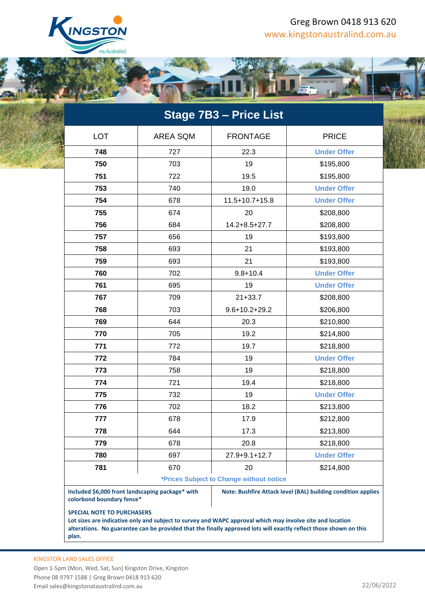

## Greg Brown 0418 913 620 www.kingstonaustralind.com.au

A S AND TO LEADER



| <b>Stage 7B3 - Price List</b>                                                 |                 |                                                                                                           |                                                                                                                   |
|-------------------------------------------------------------------------------|-----------------|-----------------------------------------------------------------------------------------------------------|-------------------------------------------------------------------------------------------------------------------|
| <b>LOT</b>                                                                    | <b>AREA SQM</b> | <b>FRONTAGE</b>                                                                                           | <b>PRICE</b>                                                                                                      |
| 748                                                                           | 727             | 22.3                                                                                                      | <b>Under Offer</b>                                                                                                |
| 750                                                                           | 703             | 19                                                                                                        | \$195,800                                                                                                         |
| 751                                                                           | 722             | 19.5                                                                                                      | \$195,800                                                                                                         |
| 753                                                                           | 740             | 19.0                                                                                                      | <b>Under Offer</b>                                                                                                |
| 754                                                                           | 678             | $11.5 + 10.7 + 15.8$                                                                                      | <b>Under Offer</b>                                                                                                |
| 755                                                                           | 674             | 20                                                                                                        | \$208,800                                                                                                         |
| 756                                                                           | 684             | $14.2 + 8.5 + 27.7$                                                                                       | \$208,800                                                                                                         |
| 757                                                                           | 656             | 19                                                                                                        | \$193,800                                                                                                         |
| 758                                                                           | 693             | 21                                                                                                        | \$193,800                                                                                                         |
| 759                                                                           | 693             | 21                                                                                                        | \$193,800                                                                                                         |
| 760                                                                           | 702             | $9.8 + 10.4$                                                                                              | <b>Under Offer</b>                                                                                                |
| 761                                                                           | 695             | 19                                                                                                        | <b>Under Offer</b>                                                                                                |
| 767                                                                           | 709             | $21 + 33.7$                                                                                               | \$208,800                                                                                                         |
| 768                                                                           | 703             | $9.6 + 10.2 + 29.2$                                                                                       | \$206,800                                                                                                         |
| 769                                                                           | 644             | 20.3                                                                                                      | \$210,800                                                                                                         |
| 770                                                                           | 705             | 19.2                                                                                                      | \$214,800                                                                                                         |
| 771                                                                           | 772             | 19.7                                                                                                      | \$218,800                                                                                                         |
| 772                                                                           | 784             | 19                                                                                                        | <b>Under Offer</b>                                                                                                |
| 773                                                                           | 758             | 19                                                                                                        | \$218,800                                                                                                         |
| 774                                                                           | 721             | 19.4                                                                                                      | \$218,800                                                                                                         |
| 775                                                                           | 732             | 19                                                                                                        | <b>Under Offer</b>                                                                                                |
| 776                                                                           | 702             | 18.2                                                                                                      | \$213,800                                                                                                         |
| 777                                                                           | 678             | 17.9                                                                                                      | \$212,800                                                                                                         |
| 778                                                                           | 644             | 17.3                                                                                                      | \$213,800                                                                                                         |
| 779                                                                           | 678             | 20.8                                                                                                      | \$218,800                                                                                                         |
| 780                                                                           | 697             | 27.9+9.1+12.7                                                                                             | <b>Under Offer</b>                                                                                                |
| 781                                                                           | 670             | 20                                                                                                        | \$214,800                                                                                                         |
| *Prices Subject to Change without notice                                      |                 |                                                                                                           |                                                                                                                   |
| Included \$6,000 front landscaping package* with<br>colorbond boundary fence* |                 | Note: Bushfire Attack level (BAL) building condition applies                                              |                                                                                                                   |
| <b>SPECIAL NOTE TO PURCHASERS</b>                                             |                 | Lot sizes are indicative only and subject to survey and WAPC approval which may involve site and location | alterations. No guarantee can be provided that the finally approved lots will exactly reflect those shown on this |

**plan.**

KINGSTON LAND SALES OFFICE

Open 1-5pm (Mon, Wed, Sat, Sun) Kingston Drive, Kingston Phone 08 9797 1588 | Greg Brown 0418 913 620 Email sales@kingstonataustralind.com.au